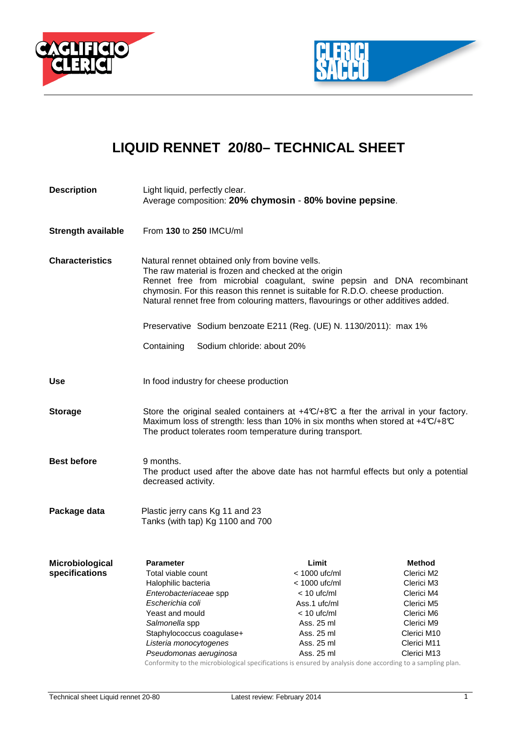



## **LIQUID RENNET 20/80– TECHNICAL SHEET**

| <b>Description</b>                | Light liquid, perfectly clear.<br>Average composition: 20% chymosin - 80% bovine pepsine.                                                                                                                                                                                                                                                                 |                            |                                                                                                                                                                                                                                                                 |                                                                                                                                         |
|-----------------------------------|-----------------------------------------------------------------------------------------------------------------------------------------------------------------------------------------------------------------------------------------------------------------------------------------------------------------------------------------------------------|----------------------------|-----------------------------------------------------------------------------------------------------------------------------------------------------------------------------------------------------------------------------------------------------------------|-----------------------------------------------------------------------------------------------------------------------------------------|
| <b>Strength available</b>         | From 130 to 250 IMCU/ml                                                                                                                                                                                                                                                                                                                                   |                            |                                                                                                                                                                                                                                                                 |                                                                                                                                         |
| <b>Characteristics</b>            | Natural rennet obtained only from bovine vells.<br>The raw material is frozen and checked at the origin<br>Rennet free from microbial coagulant, swine pepsin and DNA recombinant<br>chymosin. For this reason this rennet is suitable for R.D.O. cheese production.<br>Natural rennet free from colouring matters, flavourings or other additives added. |                            |                                                                                                                                                                                                                                                                 |                                                                                                                                         |
|                                   |                                                                                                                                                                                                                                                                                                                                                           |                            | Preservative Sodium benzoate E211 (Reg. (UE) N. 1130/2011): max 1%                                                                                                                                                                                              |                                                                                                                                         |
|                                   | Containing                                                                                                                                                                                                                                                                                                                                                | Sodium chloride: about 20% |                                                                                                                                                                                                                                                                 |                                                                                                                                         |
| <b>Use</b>                        | In food industry for cheese production                                                                                                                                                                                                                                                                                                                    |                            |                                                                                                                                                                                                                                                                 |                                                                                                                                         |
| <b>Storage</b>                    | Store the original sealed containers at $+4\mathcal{C}/+8\mathcal{C}$ a fter the arrival in your factory.<br>Maximum loss of strength: less than 10% in six months when stored at +4°C/+8°C<br>The product tolerates room temperature during transport.                                                                                                   |                            |                                                                                                                                                                                                                                                                 |                                                                                                                                         |
| <b>Best before</b>                | 9 months.<br>The product used after the above date has not harmful effects but only a potential<br>decreased activity.                                                                                                                                                                                                                                    |                            |                                                                                                                                                                                                                                                                 |                                                                                                                                         |
| Package data                      | Plastic jerry cans Kg 11 and 23<br>Tanks (with tap) Kg 1100 and 700                                                                                                                                                                                                                                                                                       |                            |                                                                                                                                                                                                                                                                 |                                                                                                                                         |
| Microbiological<br>specifications | Parameter<br>Total viable count<br>Halophilic bacteria<br>Enterobacteriaceae spp<br>Escherichia coli<br>Yeast and mould<br>Salmonella spp<br>Staphylococcus coagulase+<br>Listeria monocytogenes<br>Pseudomonas aeruginosa                                                                                                                                |                            | Limit<br>< 1000 ufc/ml<br>< 1000 ufc/ml<br>$< 10$ ufc/ml<br>Ass.1 ufc/ml<br>$< 10$ ufc/ml<br>Ass. 25 ml<br>Ass. 25 ml<br>Ass. 25 ml<br>Ass. 25 ml<br>Conformity to the microbiological specifications is ensured by analysis done according to a sampling plan. | Method<br>Clerici M2<br>Clerici M3<br>Clerici M4<br>Clerici M5<br>Clerici M6<br>Clerici M9<br>Clerici M10<br>Clerici M11<br>Clerici M13 |